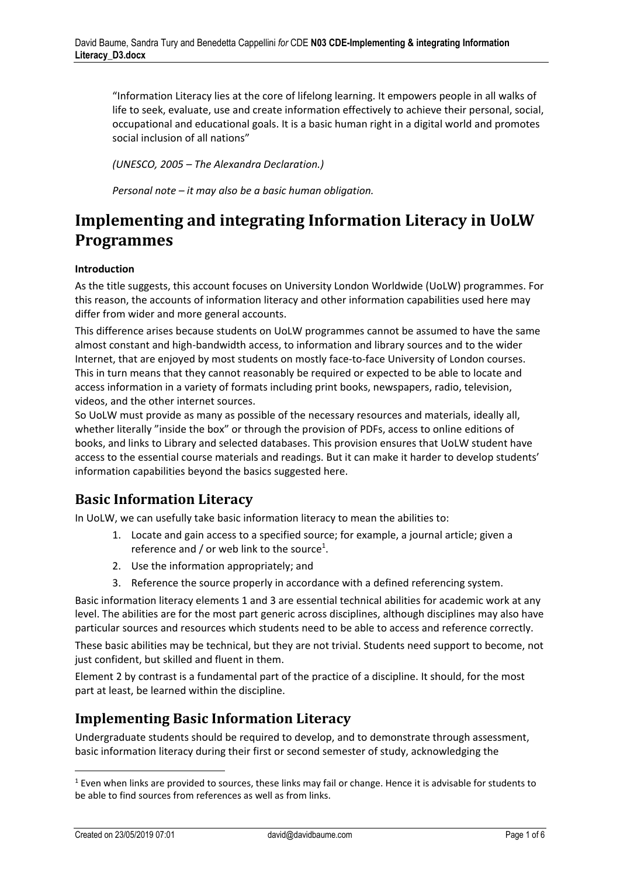"Information Literacy lies at the core of lifelong learning. It empowers people in all walks of life to seek, evaluate, use and create information effectively to achieve their personal, social, occupational and educational goals. It is a basic human right in a digital world and promotes social inclusion of all nations"

*(UNESCO, 2005 – The Alexandra Declaration.)*

*Personal note – it may also be a basic human obligation.*

# **Implementing and integrating Information Literacy in UoLW Programmes**

#### **Introduction**

As the title suggests, this account focuses on University London Worldwide (UoLW) programmes. For this reason, the accounts of information literacy and other information capabilities used here may differ from wider and more general accounts.

This difference arises because students on UoLW programmes cannot be assumed to have the same almost constant and high-bandwidth access, to information and library sources and to the wider Internet, that are enjoyed by most students on mostly face-to-face University of London courses. This in turn means that they cannot reasonably be required or expected to be able to locate and access information in a variety of formats including print books, newspapers, radio, television, videos, and the other internet sources.

So UoLW must provide as many as possible of the necessary resources and materials, ideally all, whether literally "inside the box" or through the provision of PDFs, access to online editions of books, and links to Library and selected databases. This provision ensures that UoLW student have access to the essential course materials and readings. But it can make it harder to develop students' information capabilities beyond the basics suggested here.

# **Basic Information Literacy**

In UoLW, we can usefully take basic information literacy to mean the abilities to:

- 1. Locate and gain access to a specified source; for example, a journal article; given a reference and / or web link to the source<sup>1</sup>.
- 2. Use the information appropriately; and
- 3. Reference the source properly in accordance with a defined referencing system.

Basic information literacy elements 1 and 3 are essential technical abilities for academic work at any level. The abilities are for the most part generic across disciplines, although disciplines may also have particular sources and resources which students need to be able to access and reference correctly.

These basic abilities may be technical, but they are not trivial. Students need support to become, not just confident, but skilled and fluent in them.

Element 2 by contrast is a fundamental part of the practice of a discipline. It should, for the most part at least, be learned within the discipline.

#### **Implementing Basic Information Literacy**

Undergraduate students should be required to develop, and to demonstrate through assessment, basic information literacy during their first or second semester of study, acknowledging the

 $\overline{a}$ 

 $1$  Even when links are provided to sources, these links may fail or change. Hence it is advisable for students to be able to find sources from references as well as from links.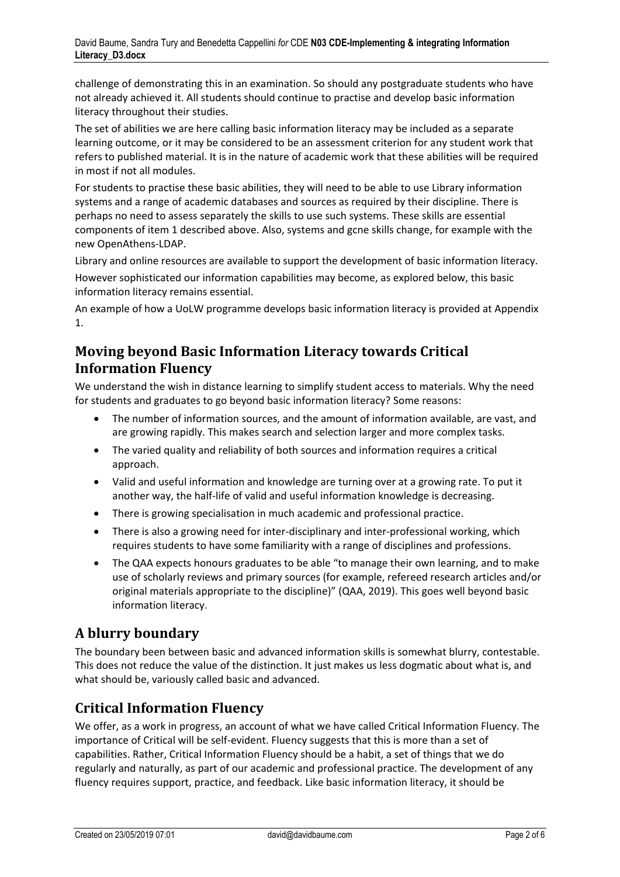challenge of demonstrating this in an examination. So should any postgraduate students who have not already achieved it. All students should continue to practise and develop basic information literacy throughout their studies.

The set of abilities we are here calling basic information literacy may be included as a separate learning outcome, or it may be considered to be an assessment criterion for any student work that refers to published material. It is in the nature of academic work that these abilities will be required in most if not all modules.

For students to practise these basic abilities, they will need to be able to use Library information systems and a range of academic databases and sources as required by their discipline. There is perhaps no need to assess separately the skills to use such systems. These skills are essential components of item 1 described above. Also, systems and gcne skills change, for example with the new OpenAthens-LDAP.

Library and online resources are available to support the development of basic information literacy.

However sophisticated our information capabilities may become, as explored below, this basic information literacy remains essential.

An example of how a UoLW programme develops basic information literacy is provided at Appendix 1.

# **Moving beyond Basic Information Literacy towards Critical Information Fluency**

We understand the wish in distance learning to simplify student access to materials. Why the need for students and graduates to go beyond basic information literacy? Some reasons:

- The number of information sources, and the amount of information available, are vast, and are growing rapidly. This makes search and selection larger and more complex tasks.
- The varied quality and reliability of both sources and information requires a critical approach.
- Valid and useful information and knowledge are turning over at a growing rate. To put it another way, the half-life of valid and useful information knowledge is decreasing.
- There is growing specialisation in much academic and professional practice.
- There is also a growing need for inter-disciplinary and inter-professional working, which requires students to have some familiarity with a range of disciplines and professions.
- The QAA expects honours graduates to be able "to manage their own learning, and to make use of scholarly reviews and primary sources (for example, refereed research articles and/or original materials appropriate to the discipline)" (QAA, 2019). This goes well beyond basic information literacy.

# **A blurry boundary**

The boundary been between basic and advanced information skills is somewhat blurry, contestable. This does not reduce the value of the distinction. It just makes us less dogmatic about what is, and what should be, variously called basic and advanced.

# **Critical Information Fluency**

We offer, as a work in progress, an account of what we have called Critical Information Fluency. The importance of Critical will be self-evident. Fluency suggests that this is more than a set of capabilities. Rather, Critical Information Fluency should be a habit, a set of things that we do regularly and naturally, as part of our academic and professional practice. The development of any fluency requires support, practice, and feedback. Like basic information literacy, it should be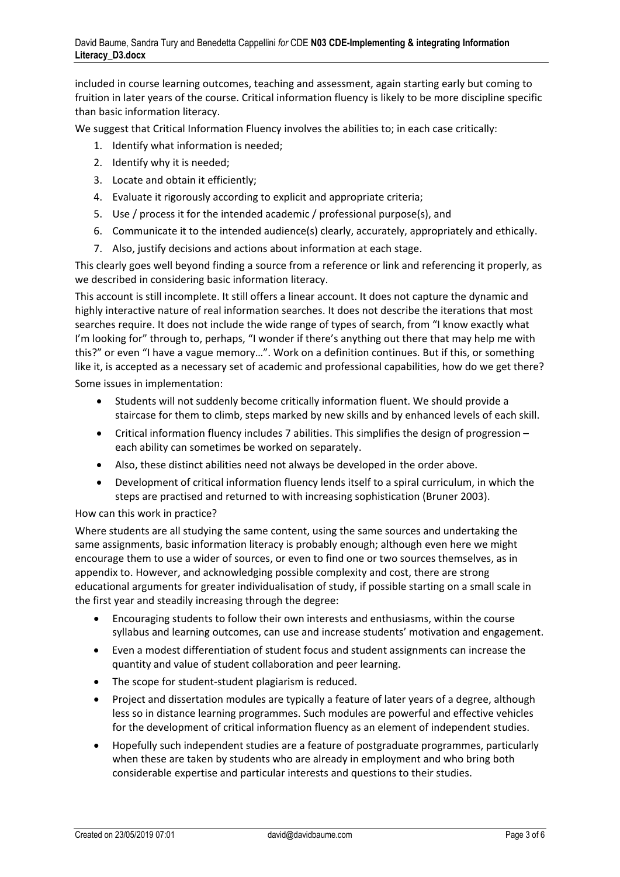included in course learning outcomes, teaching and assessment, again starting early but coming to fruition in later years of the course. Critical information fluency is likely to be more discipline specific than basic information literacy.

We suggest that Critical Information Fluency involves the abilities to; in each case critically:

- 1. Identify what information is needed;
- 2. Identify why it is needed;
- 3. Locate and obtain it efficiently;
- 4. Evaluate it rigorously according to explicit and appropriate criteria;
- 5. Use / process it for the intended academic / professional purpose(s), and
- 6. Communicate it to the intended audience(s) clearly, accurately, appropriately and ethically.
- 7. Also, justify decisions and actions about information at each stage.

This clearly goes well beyond finding a source from a reference or link and referencing it properly, as we described in considering basic information literacy.

This account is still incomplete. It still offers a linear account. It does not capture the dynamic and highly interactive nature of real information searches. It does not describe the iterations that most searches require. It does not include the wide range of types of search, from "I know exactly what I'm looking for" through to, perhaps, "I wonder if there's anything out there that may help me with this?" or even "I have a vague memory…". Work on a definition continues. But if this, or something like it, is accepted as a necessary set of academic and professional capabilities, how do we get there? Some issues in implementation:

- Students will not suddenly become critically information fluent. We should provide a staircase for them to climb, steps marked by new skills and by enhanced levels of each skill.
- Critical information fluency includes 7 abilities. This simplifies the design of progression each ability can sometimes be worked on separately.
- Also, these distinct abilities need not always be developed in the order above.
- Development of critical information fluency lends itself to a spiral curriculum, in which the steps are practised and returned to with increasing sophistication (Bruner 2003).

#### How can this work in practice?

Where students are all studying the same content, using the same sources and undertaking the same assignments, basic information literacy is probably enough; although even here we might encourage them to use a wider of sources, or even to find one or two sources themselves, as in appendix to. However, and acknowledging possible complexity and cost, there are strong educational arguments for greater individualisation of study, if possible starting on a small scale in the first year and steadily increasing through the degree:

- Encouraging students to follow their own interests and enthusiasms, within the course syllabus and learning outcomes, can use and increase students' motivation and engagement.
- Even a modest differentiation of student focus and student assignments can increase the quantity and value of student collaboration and peer learning.
- The scope for student-student plagiarism is reduced.
- Project and dissertation modules are typically a feature of later years of a degree, although less so in distance learning programmes. Such modules are powerful and effective vehicles for the development of critical information fluency as an element of independent studies.
- Hopefully such independent studies are a feature of postgraduate programmes, particularly when these are taken by students who are already in employment and who bring both considerable expertise and particular interests and questions to their studies.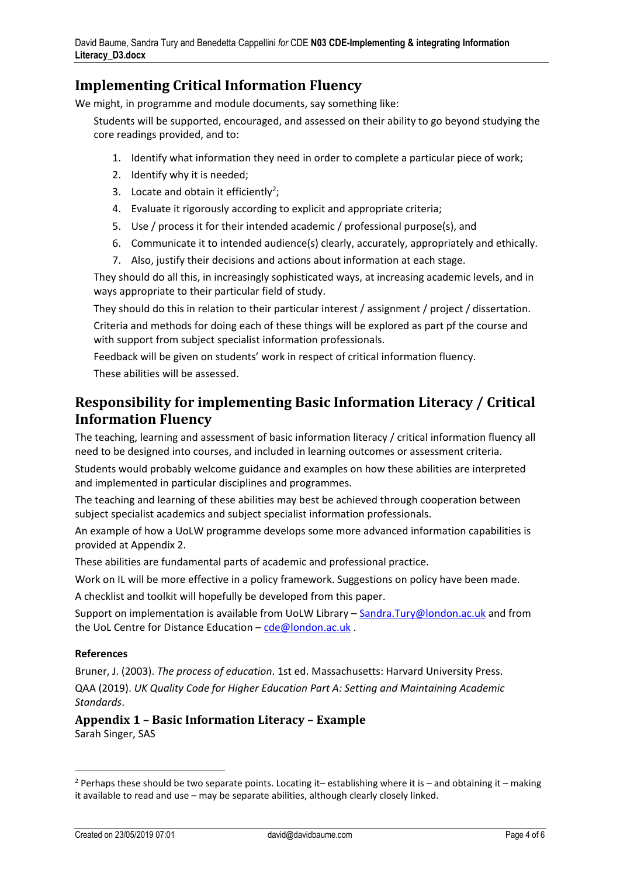#### **Implementing Critical Information Fluency**

We might, in programme and module documents, say something like:

Students will be supported, encouraged, and assessed on their ability to go beyond studying the core readings provided, and to:

- 1. Identify what information they need in order to complete a particular piece of work;
- 2. Identify why it is needed;
- 3. Locate and obtain it efficiently<sup>2</sup>;
- 4. Evaluate it rigorously according to explicit and appropriate criteria;
- 5. Use / process it for their intended academic / professional purpose(s), and
- 6. Communicate it to intended audience(s) clearly, accurately, appropriately and ethically.
- 7. Also, justify their decisions and actions about information at each stage.

They should do all this, in increasingly sophisticated ways, at increasing academic levels, and in ways appropriate to their particular field of study.

They should do this in relation to their particular interest / assignment / project / dissertation. Criteria and methods for doing each of these things will be explored as part pf the course and with support from subject specialist information professionals.

Feedback will be given on students' work in respect of critical information fluency. These abilities will be assessed.

#### **Responsibility for implementing Basic Information Literacy / Critical Information Fluency**

The teaching, learning and assessment of basic information literacy / critical information fluency all need to be designed into courses, and included in learning outcomes or assessment criteria.

Students would probably welcome guidance and examples on how these abilities are interpreted and implemented in particular disciplines and programmes.

The teaching and learning of these abilities may best be achieved through cooperation between subject specialist academics and subject specialist information professionals.

An example of how a UoLW programme develops some more advanced information capabilities is provided at Appendix 2.

These abilities are fundamental parts of academic and professional practice.

Work on IL will be more effective in a policy framework. Suggestions on policy have been made.

A checklist and toolkit will hopefully be developed from this paper.

Support on implementation is available from UoLW Library – [Sandra.Tury@london.ac.uk](mailto:Sandra.Tury@london.ac.uk) and from the UoL Centre for Distance Education – [cde@london.ac.uk](mailto:cde@london.ac.uk) .

#### **References**

 $\overline{a}$ 

Bruner, J. (2003). *The process of education*. 1st ed. Massachusetts: Harvard University Press. QAA (2019). *UK Quality Code for Higher Education Part A: Setting and Maintaining Academic Standards*.

#### **Appendix 1 – Basic Information Literacy – Example**  Sarah Singer, SAS

<sup>&</sup>lt;sup>2</sup> Perhaps these should be two separate points. Locating it-establishing where it is - and obtaining it - making it available to read and use – may be separate abilities, although clearly closely linked.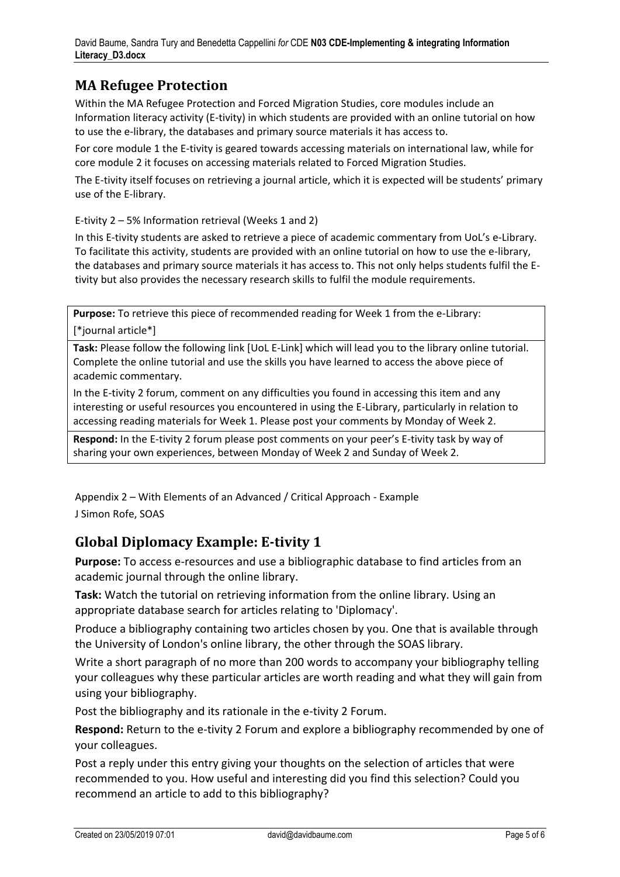# **MA Refugee Protection**

Within the MA Refugee Protection and Forced Migration Studies, core modules include an Information literacy activity (E-tivity) in which students are provided with an online tutorial on how to use the e-library, the databases and primary source materials it has access to.

For core module 1 the E-tivity is geared towards accessing materials on international law, while for core module 2 it focuses on accessing materials related to Forced Migration Studies.

The E-tivity itself focuses on retrieving a journal article, which it is expected will be students' primary use of the E-library.

E-tivity 2 – 5% Information retrieval (Weeks 1 and 2)

In this E-tivity students are asked to retrieve a piece of academic commentary from UoL's e-Library. To facilitate this activity, students are provided with an online tutorial on how to use the e-library, the databases and primary source materials it has access to. This not only helps students fulfil the Etivity but also provides the necessary research skills to fulfil the module requirements.

**Purpose:** To retrieve this piece of recommended reading for Week 1 from the e-Library: [\*journal article\*]

**Task:** Please follow the following link [UoL E-Link] which will lead you to the library online tutorial. Complete the online tutorial and use the skills you have learned to access the above piece of academic commentary.

In the E-tivity 2 forum, comment on any difficulties you found in accessing this item and any interesting or useful resources you encountered in using the E-Library, particularly in relation to accessing reading materials for Week 1. Please post your comments by Monday of Week 2.

**Respond:** In the E-tivity 2 forum please post comments on your peer's E-tivity task by way of sharing your own experiences, between Monday of Week 2 and Sunday of Week 2.

Appendix 2 – With Elements of an Advanced / Critical Approach - Example J Simon Rofe, SOAS

#### **Global Diplomacy Example: E-tivity 1**

**Purpose:** To access e-resources and use a bibliographic database to find articles from an academic journal through the online library.

**Task:** Watch the tutorial on retrieving information from the online library. Using an appropriate database search for articles relating to 'Diplomacy'.

Produce a bibliography containing two articles chosen by you. One that is available through the University of London's online library, the other through the SOAS library.

Write a short paragraph of no more than 200 words to accompany your bibliography telling your colleagues why these particular articles are worth reading and what they will gain from using your bibliography.

Post the bibliography and its rationale in the e-tivity 2 Forum.

**Respond:** Return to the e-tivity 2 Forum and explore a bibliography recommended by one of your colleagues.

Post a reply under this entry giving your thoughts on the selection of articles that were recommended to you. How useful and interesting did you find this selection? Could you recommend an article to add to this bibliography?